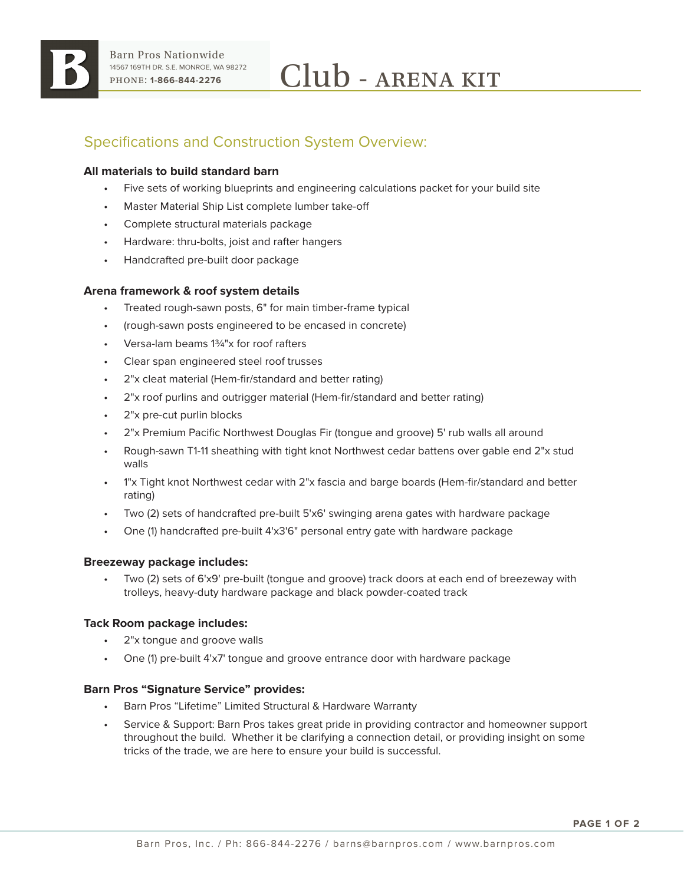

# Specifications and Construction System Overview:

## **All materials to build standard barn**

- Five sets of working blueprints and engineering calculations packet for your build site
- Master Material Ship List complete lumber take-off
- Complete structural materials package
- Hardware: thru-bolts, joist and rafter hangers
- Handcrafted pre-built door package

## **Arena framework & roof system details**

- Treated rough-sawn posts, 6" for main timber-frame typical
- (rough-sawn posts engineered to be encased in concrete)
- Versa-lam beams 1¾"x for roof rafters
- Clear span engineered steel roof trusses
- 2"x cleat material (Hem-fir/standard and better rating)
- 2"x roof purlins and outrigger material (Hem-fir/standard and better rating)
- 2"x pre-cut purlin blocks
- 2"x Premium Pacific Northwest Douglas Fir (tongue and groove) 5' rub walls all around
- Rough-sawn T1-11 sheathing with tight knot Northwest cedar battens over gable end 2"x stud walls
- 1"x Tight knot Northwest cedar with 2"x fascia and barge boards (Hem-fir/standard and better rating)
- Two (2) sets of handcrafted pre-built 5'x6' swinging arena gates with hardware package
- One (1) handcrafted pre-built 4'x3'6" personal entry gate with hardware package

#### **Breezeway package includes:**

• Two (2) sets of 6'x9' pre-built (tongue and groove) track doors at each end of breezeway with trolleys, heavy-duty hardware package and black powder-coated track

#### **Tack Room package includes:**

- 2"x tonque and groove walls
- One (1) pre-built 4'x7' tongue and groove entrance door with hardware package

#### **Barn Pros "Signature Service" provides:**

- Barn Pros "Lifetime" Limited Structural & Hardware Warranty
- Service & Support: Barn Pros takes great pride in providing contractor and homeowner support throughout the build. Whether it be clarifying a connection detail, or providing insight on some tricks of the trade, we are here to ensure your build is successful.